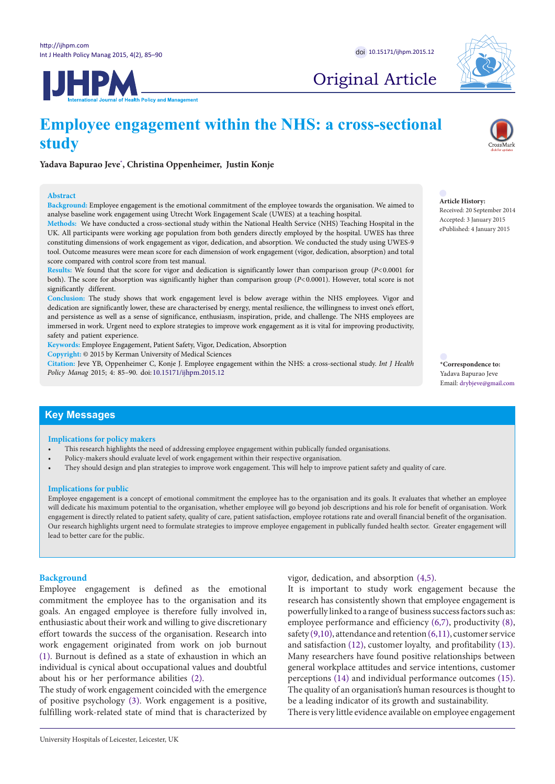

## Original Article

# **JHPM**

## **Employee engagement within the NHS: a cross-sectional study**

### **Yadava Bapurao Jev[e\\*](#page-0-0) , Christina Oppenheimer, Justin Konje**

#### **Abstract**

**Background:** Employee engagement is the emotional commitment of the employee towards the organisation. We aimed to analyse baseline work engagement using Utrecht Work Engagement Scale (UWES) at a teaching hospital.

**Methods:** We have conducted a cross-sectional study within the National Health Service (NHS) Teaching Hospital in the UK. All participants were working age population from both genders directly employed by the hospital. UWES has three constituting dimensions of work engagement as vigor, dedication, and absorption. We conducted the study using UWES-9 tool. Outcome measures were mean score for each dimension of work engagement (vigor, dedication, absorption) and total score compared with control score from test manual.

**Results:** We found that the score for vigor and dedication is significantly lower than comparison group (*P*<0.0001 for both). The score for absorption was significantly higher than comparison group (*P*<0.0001). However, total score is not significantly different.

**Conclusion:** The study shows that work engagement level is below average within the NHS employees. Vigor and dedication are significantly lower, these are characterised by energy, mental resilience, the willingness to invest one's effort, and persistence as well as a sense of significance, enthusiasm, inspiration, pride, and challenge. The NHS employees are immersed in work. Urgent need to explore strategies to improve work engagement as it is vital for improving productivity, safety and patient experience.

**Keywords:** Employee Engagement, Patient Safety, Vigor, Dedication, Absorption

**Copyright:** © 2015 by Kerman University of Medical Sciences

**Citation:** Jeve YB, Oppenheimer C, Konje J. Employee engagement within the NHS: a cross-sectional study. *Int J Health Policy Manag* 2015; 4: 85–90. doi: [10.15171/ijhpm.2015.12](http://dx.doi.org/10.15171/ijhpm.2015.12)

## **Article History:**

Received: 20 September 2014 Accepted: 3 January 2015 ePublished: 4 January 2015

<span id="page-0-0"></span>**\*Correspondence to:** Yadava Bapurao Jeve Email: drybjeve@gmail.com

#### **Key Messages**

**Implications for policy makers**

- This research highlights the need of addressing employee engagement within publically funded organisations.
- Policy-makers should evaluate level of work engagement within their respective organisation.
- They should design and plan strategies to improve work engagement. This will help to improve patient safety and quality of care.

#### **Implications for public**

Employee engagement is a concept of emotional commitment the employee has to the organisation and its goals. It evaluates that whether an employee will dedicate his maximum potential to the organisation, whether employee will go beyond job descriptions and his role for benefit of organisation. Work engagement is directly related to patient safety, quality of care, patient satisfaction, employee rotations rate and overall financial benefit of the organisation. Our research highlights urgent need to formulate strategies to improve employee engagement in publically funded health sector. Greater engagement will lead to better care for the public.

#### **Background**

Employee engagement is defined as the emotional commitment the employee has to the organisation and its goals. An engaged employee is therefore fully involved in, enthusiastic about their work and willing to give discretionary effort towards the success of the organisation. Research into work engagement originated from work on job burnout ([1](#page-4-0)). Burnout is defined as a state of exhaustion in which an individual is cynical about occupational values and doubtful about his or her performance abilities ([2](#page-4-1)).

The study of work engagement coincided with the emergence of positive psychology [\(3](#page-4-2)). Work engagement is a positive, fulfilling work-related state of mind that is characterized by vigor, dedication, and absorption ([4,](#page-4-3)[5\)](#page-4-4).

It is important to study work engagement because the research has consistently shown that employee engagement is powerfully linked to a range of business success factors such as: employee performance and efficiency [\(6](#page-4-5)[,7](#page-4-6)), productivity [\(8](#page-4-7)), safety [\(9](#page-4-8)[,10](#page-4-9)), attendance and retention ([6](#page-4-5),[11](#page-4-10)), customer service and satisfaction [\(12\)](#page-4-11), customer loyalty, and profitability [\(13](#page-4-12)). Many researchers have found positive relationships between general workplace attitudes and service intentions, customer perceptions ([14](#page-4-13)) and individual performance outcomes [\(15](#page-4-14)). The quality of an organisation's human resources is thought to be a leading indicator of its growth and sustainability. There is very little evidence available on employee engagement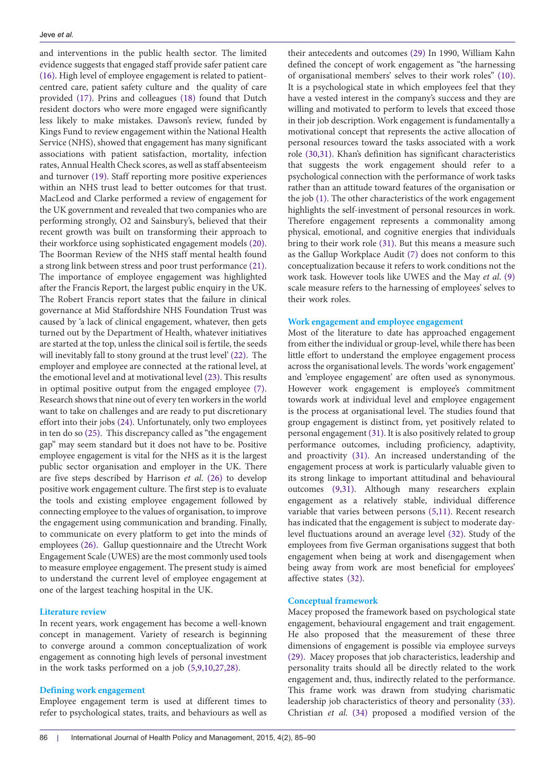and interventions in the public health sector. The limited evidence suggests that engaged staff provide safer patient care ([16](#page-4-15)). High level of employee engagement is related to patientcentred care, patient safety culture and the quality of care provided ([17](#page-4-16)). Prins and colleagues ([18](#page-4-17)) found that Dutch resident doctors who were more engaged were significantly less likely to make mistakes. Dawson's review, funded by Kings Fund to review engagement within the National Health Service (NHS), showed that engagement has many significant associations with patient satisfaction, mortality, infection rates, Annual Health Check scores, as well as staff absenteeism and turnover ([19](#page-4-18)). Staff reporting more positive experiences within an NHS trust lead to better outcomes for that trust. MacLeod and Clarke performed a review of engagement for the UK government and revealed that two companies who are performing strongly, O2 and Sainsbury's, believed that their recent growth was built on transforming their approach to their workforce using sophisticated engagement models ([20](#page-4-19)). The Boorman Review of the NHS staff mental health found a strong link between stress and poor trust performance ([21](#page-4-20)). The importance of employee engagement was highlighted after the Francis Report, the largest public enquiry in the UK. The Robert Francis report states that the failure in clinical governance at Mid Staffordshire NHS Foundation Trust was caused by 'a lack of clinical engagement, whatever, then gets turned out by the Department of Health, whatever initiatives are started at the top, unless the clinical soil is fertile, the seeds will inevitably fall to stony ground at the trust level' ([22\)](#page-4-21). The employer and employee are connected at the rational level, at the emotional level and at motivational level ([23\)](#page-4-22). This results in optimal positive output from the engaged employee ([7](#page-4-6)). Research shows that nine out of every ten workers in the world want to take on challenges and are ready to put discretionary effort into their jobs [\(24\)](#page-4-23). Unfortunately, only two employees in ten do so [\(25](#page-4-24)). This discrepancy called as "the engagement gap" may seem standard but it does not have to be. Positive employee engagement is vital for the NHS as it is the largest public sector organisation and employer in the UK. There are five steps described by Harrison *et al*. ([26](#page-4-25)) to develop positive work engagement culture. The first step is to evaluate the tools and existing employee engagement followed by connecting employee to the values of organisation, to improve the engagement using communication and branding. Finally, to communicate on every platform to get into the minds of employees [\(26\)](#page-4-25). Gallup questionnaire and the Utrecht Work Engagement Scale (UWES) are the most commonly used tools to measure employee engagement. The present study is aimed to understand the current level of employee engagement at one of the largest teaching hospital in the UK.

#### **Literature review**

In recent years, work engagement has become a well-known concept in management. Variety of research is beginning to converge around a common conceptualization of work engagement as connoting high levels of personal investment in the work tasks performed on a job ([5,](#page-4-4)[9,](#page-4-8)[10](#page-4-9),[27](#page-4-26),[28](#page-4-27)).

#### **Defining work engagement**

Employee engagement term is used at different times to refer to psychological states, traits, and behaviours as well as

their antecedents and outcomes ([29](#page-4-28)) In 1990, William Kahn defined the concept of work engagement as "the harnessing of organisational members' selves to their work roles" [\(10](#page-4-9)). It is a psychological state in which employees feel that they have a vested interest in the company's success and they are willing and motivated to perform to levels that exceed those in their job description. Work engagement is fundamentally a motivational concept that represents the active allocation of personal resources toward the tasks associated with a work role [\(30,](#page-4-29)[31\)](#page-4-30). Khan's definition has significant characteristics that suggests the work engagement should refer to a psychological connection with the performance of work tasks rather than an attitude toward features of the organisation or the job [\(1](#page-4-0)). The other characteristics of the work engagement highlights the self-investment of personal resources in work. Therefore engagement represents a commonality among physical, emotional, and cognitive energies that individuals bring to their work role [\(31\)](#page-4-30). But this means a measure such as the Gallup Workplace Audit [\(7](#page-4-6)) does not conform to this conceptualization because it refers to work conditions not the work task. However tools like UWES and the May *et al*. [\(9](#page-4-8)) scale measure refers to the harnessing of employees' selves to their work roles.

#### **Work engagement and employee engagement**

Most of the literature to date has approached engagement from either the individual or group-level, while there has been little effort to understand the employee engagement process across the organisational levels. The words 'work engagement' and 'employee engagement' are often used as synonymous. However work engagement is employee's commitment towards work at individual level and employee engagement is the process at organisational level. The studies found that group engagement is distinct from, yet positively related to personal engagement ([31](#page-4-30)). It is also positively related to group performance outcomes, including proficiency, adaptivity, and proactivity [\(31\)](#page-4-30). An increased understanding of the engagement process at work is particularly valuable given to its strong linkage to important attitudinal and behavioural outcomes ([9,](#page-4-8)[31\)](#page-4-30). Although many researchers explain engagement as a relatively stable, individual difference variable that varies between persons [\(5](#page-4-4)[,11\)](#page-4-10). Recent research has indicated that the engagement is subject to moderate daylevel fluctuations around an average level [\(32\)](#page-4-31). Study of the employees from five German organisations suggest that both engagement when being at work and disengagement when being away from work are most beneficial for employees' affective states ([32](#page-4-31)).

#### **Conceptual framework**

Macey proposed the framework based on psychological state engagement, behavioural engagement and trait engagement. He also proposed that the measurement of these three dimensions of engagement is possible via employee surveys [\(29\)](#page-4-28). Macey proposes that job characteristics, leadership and personality traits should all be directly related to the work engagement and, thus, indirectly related to the performance. This frame work was drawn from studying charismatic leadership job characteristics of theory and personality [\(33](#page-4-32)). Christian *et al*. ([34](#page-5-0)) proposed a modified version of the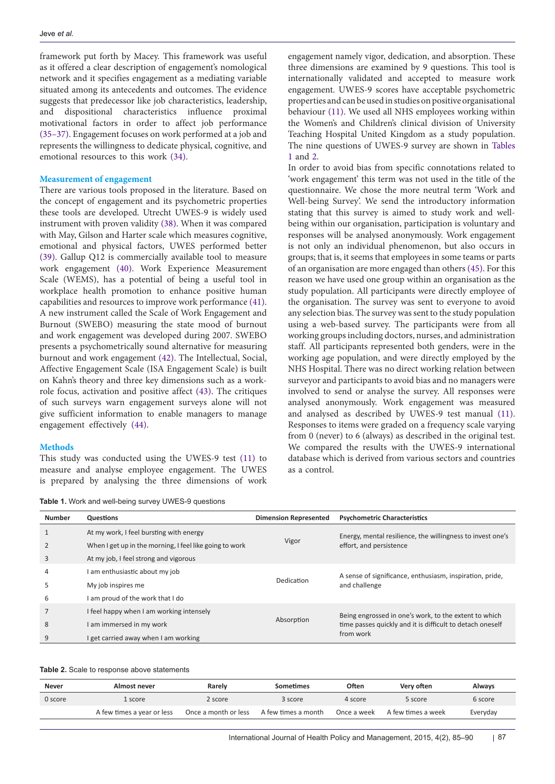framework put forth by Macey. This framework was useful as it offered a clear description of engagement's nomological network and it specifies engagement as a mediating variable situated among its antecedents and outcomes. The evidence suggests that predecessor like job characteristics, leadership, and dispositional characteristics influence proximal motivational factors in order to affect job performance ([35–](#page-5-1)[37](#page-5-2)). Engagement focuses on work performed at a job and represents the willingness to dedicate physical, cognitive, and emotional resources to this work [\(34\)](#page-5-0).

#### **Measurement of engagement**

There are various tools proposed in the literature. Based on the concept of engagement and its psychometric properties these tools are developed. Utrecht UWES-9 is widely used instrument with proven validity [\(38\)](#page-5-3). When it was compared with May, Gilson and Harter scale which measures cognitive, emotional and physical factors, UWES performed better ([39\)](#page-5-4). Gallup Q12 is commercially available tool to measure work engagement [\(40](#page-5-5)). Work Experience Measurement Scale (WEMS), has a potential of being a useful tool in workplace health promotion to enhance positive human capabilities and resources to improve work performance ([41\)](#page-5-6). A new instrument called the Scale of Work Engagement and Burnout (SWEBO) measuring the state mood of burnout and work engagement was developed during 2007. SWEBO presents a psychometrically sound alternative for measuring burnout and work engagement ([42](#page-5-7)). The Intellectual, Social, Affective Engagement Scale (ISA Engagement Scale) is built on Kahn's theory and three key dimensions such as a workrole focus, activation and positive affect ([43](#page-5-8)). The critiques of such surveys warn engagement surveys alone will not give sufficient information to enable managers to manage engagement effectively [\(44\)](#page-5-9).

#### **Methods**

This study was conducted using the UWES-9 test ([11](#page-4-10)) to measure and analyse employee engagement. The UWES is prepared by analysing the three dimensions of work

<span id="page-2-0"></span>**Table 1.** Work and well-being survey UWES-9 questions

engagement namely vigor, dedication, and absorption. These three dimensions are examined by 9 questions. This tool is internationally validated and accepted to measure work engagement. UWES-9 scores have acceptable psychometric properties and can be used in studies on positive organisational behaviour ([11](#page-4-10)). We used all NHS employees working within the Women's and Children's clinical division of University Teaching Hospital United Kingdom as a study population. The nine questions of UWES-9 survey are shown in [Tables](#page-2-0)  [1](#page-2-0) and [2.](#page-2-1)

In order to avoid bias from specific connotations related to 'work engagement' this term was not used in the title of the questionnaire. We chose the more neutral term 'Work and Well-being Survey'. We send the introductory information stating that this survey is aimed to study work and wellbeing within our organisation, participation is voluntary and responses will be analysed anonymously. Work engagement is not only an individual phenomenon, but also occurs in groups; that is, it seems that employees in some teams or parts of an organisation are more engaged than others ([45\)](#page-5-10). For this reason we have used one group within an organisation as the study population. All participants were directly employee of the organisation. The survey was sent to everyone to avoid any selection bias. The survey was sent to the study population using a web-based survey. The participants were from all working groups including doctors, nurses, and administration staff. All participants represented both genders, were in the working age population, and were directly employed by the NHS Hospital. There was no direct working relation between surveyor and participants to avoid bias and no managers were involved to send or analyse the survey. All responses were analysed anonymously. Work engagement was measured and analysed as described by UWES-9 test manual [\(11](#page-4-10)). Responses to items were graded on a frequency scale varying from 0 (never) to 6 (always) as described in the original test. We compared the results with the UWES-9 international database which is derived from various sectors and countries as a control.

| <b>Number</b> | Questions                                               | <b>Dimension Represented</b> | <b>Psychometric Characteristics</b>                                                                                |  |  |
|---------------|---------------------------------------------------------|------------------------------|--------------------------------------------------------------------------------------------------------------------|--|--|
|               | At my work, I feel bursting with energy                 |                              | Energy, mental resilience, the willingness to invest one's                                                         |  |  |
|               | When I get up in the morning, I feel like going to work | Vigor                        | effort, and persistence                                                                                            |  |  |
| 3             | At my job, I feel strong and vigorous                   |                              |                                                                                                                    |  |  |
| 4             | I am enthusiastic about my job                          |                              | A sense of significance, enthusiasm, inspiration, pride,                                                           |  |  |
|               | My job inspires me                                      | Dedication                   | and challenge                                                                                                      |  |  |
| 6             | I am proud of the work that I do                        |                              |                                                                                                                    |  |  |
|               | I feel happy when I am working intensely                |                              | Being engrossed in one's work, to the extent to which<br>time passes quickly and it is difficult to detach oneself |  |  |
| 8             | I am immersed in my work                                | Absorption                   |                                                                                                                    |  |  |
| 9             | I get carried away when I am working                    |                              | from work                                                                                                          |  |  |

#### <span id="page-2-1"></span>**Table 2.** Scale to response above statements

| <b>Never</b> | Almost never               | Rarely               | <b>Sometimes</b>    | Often       | Very often         | <b>Always</b> |
|--------------|----------------------------|----------------------|---------------------|-------------|--------------------|---------------|
| 0 score      | 1 score                    | 2 score              | 3 score             | 4 score     | 5 score            | 6 score       |
|              | A few times a year or less | Once a month or less | A few times a month | Once a week | A few times a week | Everyday      |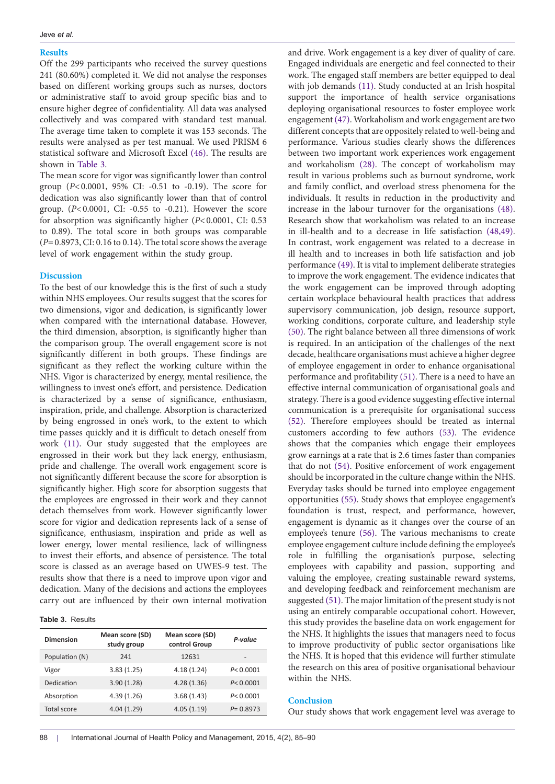#### **Results**

Off the 299 participants who received the survey questions 241 (80.60%) completed it. We did not analyse the responses based on different working groups such as nurses, doctors or administrative staff to avoid group specific bias and to ensure higher degree of confidentiality. All data was analysed collectively and was compared with standard test manual. The average time taken to complete it was 153 seconds. The results were analysed as per test manual. We used PRISM 6 statistical software and Microsoft Excel ([46\)](#page-5-11). The results are shown in [Table 3.](#page-3-0)

The mean score for vigor was significantly lower than control group (*P*<0.0001, 95% CI: -0.51 to -0.19). The score for dedication was also significantly lower than that of control group. (*P*<0.0001, CI: -0.55 to -0.21). However the score for absorption was significantly higher (*P*<0.0001, CI: 0.53 to 0.89). The total score in both groups was comparable (*P*=0.8973, CI: 0.16 to 0.14). The total score shows the average level of work engagement within the study group.

#### **Discussion**

To the best of our knowledge this is the first of such a study within NHS employees. Our results suggest that the scores for two dimensions, vigor and dedication, is significantly lower when compared with the international database. However, the third dimension, absorption, is significantly higher than the comparison group. The overall engagement score is not significantly different in both groups. These findings are significant as they reflect the working culture within the NHS. Vigor is characterized by energy, mental resilience, the willingness to invest one's effort, and persistence. Dedication is characterized by a sense of significance, enthusiasm, inspiration, pride, and challenge. Absorption is characterized by being engrossed in one's work, to the extent to which time passes quickly and it is difficult to detach oneself from work [\(11\)](#page-4-10). Our study suggested that the employees are engrossed in their work but they lack energy, enthusiasm, pride and challenge. The overall work engagement score is not significantly different because the score for absorption is significantly higher. High score for absorption suggests that the employees are engrossed in their work and they cannot detach themselves from work. However significantly lower score for vigior and dedication represents lack of a sense of significance, enthusiasm, inspiration and pride as well as lower energy, lower mental resilience, lack of willingness to invest their efforts, and absence of persistence. The total score is classed as an average based on UWES-9 test. The results show that there is a need to improve upon vigor and dedication. Many of the decisions and actions the employees carry out are influenced by their own internal motivation

#### <span id="page-3-0"></span>**Table 3.** Results

| <b>Dimension</b>   | Mean score (SD)<br>study group | Mean score (SD)<br>control Group | P-value      |
|--------------------|--------------------------------|----------------------------------|--------------|
| Population (N)     | 241                            | 12631                            | -            |
| Vigor              | 3.83(1.25)                     | 4.18(1.24)                       | P < 0.0001   |
| Dedication         | 3.90(1.28)                     | 4.28(1.36)                       | P < 0.0001   |
| Absorption         | 4.39(1.26)                     | 3.68(1.43)                       | P < 0.0001   |
| <b>Total score</b> | 4.04(1.29)                     | 4.05(1.19)                       | $P = 0.8973$ |
|                    |                                |                                  |              |

and drive. Work engagement is a key diver of quality of care. Engaged individuals are energetic and feel connected to their work. The engaged staff members are better equipped to deal with job demands [\(11\)](#page-4-10). Study conducted at an Irish hospital support the importance of health service organisations deploying organisational resources to foster employee work engagement [\(47\)](#page-5-12). Workaholism and work engagement are two different concepts that are oppositely related to well-being and performance. Various studies clearly shows the differences between two important work experiences work engagement and workaholism [\(28\)](#page-4-27). The concept of workaholism may result in various problems such as burnout syndrome, work and family conflict, and overload stress phenomena for the individuals. It results in reduction in the productivity and increase in the labour turnover for the organisations [\(48](#page-5-13)). Research show that workaholism was related to an increase in ill-health and to a decrease in life satisfaction ([48](#page-5-13)[,49](#page-5-14)). In contrast, work engagement was related to a decrease in ill health and to increases in both life satisfaction and job performance ([49](#page-5-14)). It is vital to implement deliberate strategies to improve the work engagement. The evidence indicates that the work engagement can be improved through adopting certain workplace behavioural health practices that address supervisory communication, job design, resource support, working conditions, corporate culture, and leadership style [\(50](#page-5-15)). The right balance between all three dimensions of work is required. In an anticipation of the challenges of the next decade, healthcare organisations must achieve a higher degree of employee engagement in order to enhance organisational performance and profitability [\(51](#page-5-16)). There is a need to have an effective internal communication of organisational goals and strategy. There is a good evidence suggesting effective internal communication is a prerequisite for organisational success [\(52](#page-5-17)). Therefore employees should be treated as internal customers according to few authors ([53](#page-5-18)). The evidence shows that the companies which engage their employees grow earnings at a rate that is 2.6 times faster than companies that do not [\(54\)](#page-5-19). Positive enforcement of work engagement should be incorporated in the culture change within the NHS. Everyday tasks should be turned into employee engagement opportunities ([55](#page-5-20)). Study shows that employee engagement's foundation is trust, respect, and performance, however, engagement is dynamic as it changes over the course of an employee's tenure [\(56\)](#page-5-21). The various mechanisms to create employee engagement culture include defining the employee's role in fulfilling the organisation's purpose, selecting employees with capability and passion, supporting and valuing the employee, creating sustainable reward systems, and developing feedback and reinforcement mechanism are suggested ([51](#page-5-16)). The major limitation of the present study is not using an entirely comparable occupational cohort. However, this study provides the baseline data on work engagement for the NHS. It highlights the issues that managers need to focus to improve productivity of public sector organisations like the NHS. It is hoped that this evidence will further stimulate the research on this area of positive organisational behaviour within the NHS.

#### **Conclusion**

Our study shows that work engagement level was average to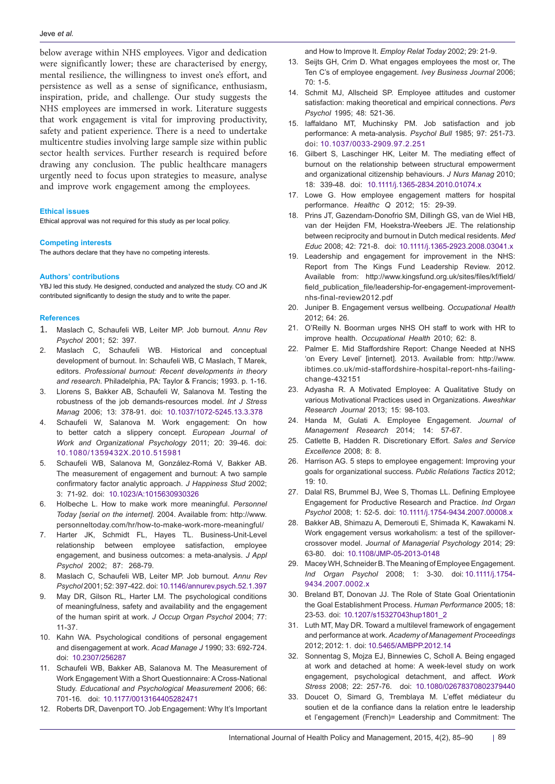below average within NHS employees. Vigor and dedication were significantly lower; these are characterised by energy, mental resilience, the willingness to invest one's effort, and persistence as well as a sense of significance, enthusiasm, inspiration, pride, and challenge. Our study suggests the NHS employees are immersed in work. Literature suggests that work engagement is vital for improving productivity, safety and patient experience. There is a need to undertake multicentre studies involving large sample size within public sector health services. Further research is required before drawing any conclusion. The public healthcare managers urgently need to focus upon strategies to measure, analyse and improve work engagement among the employees.

#### **Ethical issues**

Ethical approval was not required for this study as per local policy.

#### **Competing interests**

The authors declare that they have no competing interests.

#### **Authors' contributions**

YBJ led this study. He designed, conducted and analyzed the study. CO and JK contributed significantly to design the study and to write the paper.

#### **References**

- <span id="page-4-0"></span>1. Maslach C, Schaufeli WB, Leiter MP. Job burnout. *Annu Rev Psychol* 2001; 52: 397.
- <span id="page-4-1"></span>2. Maslach C, Schaufeli WB. Historical and conceptual development of burnout. In: Schaufeli WB, C Maslach, T Marek, editors. *Professional burnout: Recent developments in theory and research*. Philadelphia, PA: Taylor & Francis; 1993. p. 1-16.
- <span id="page-4-2"></span>3. Llorens S, Bakker AB, Schaufeli W, Salanova M. Testing the robustness of the job demands-resources model. *Int J Stress Manag* 2006; 13: 378-91. doi: [10.1037/1072-5245.13.3.378](http://dx.doi.org/10.1037/1072-5245.13.3.378)
- <span id="page-4-3"></span>4. Schaufeli W, Salanova M. Work engagement: On how to better catch a slippery concept. *European Journal of Work and Organizational Psychology* 2011; 20: 39-46. doi: [10.1080/1359432X.2010.515981](http://dx.doi.org/10.1080/1359432X.2010.515981)
- <span id="page-4-4"></span>5. Schaufeli WB, Salanova M, González-Romá V, Bakker AB. The measurement of engagement and burnout: A two sample confirmatory factor analytic approach. *J Happiness Stud* 2002; 3: 71-92. doi: [10.1023/A:1015630930326](http://dx.doi.org/10.1023/A:1015630930326)
- <span id="page-4-5"></span>6. Holbeche L. How to make work more meaningful. *Personnel Today [serial on the internet].* 2004. Available from: [http://www.](http://www.personneltoday.com/hr/how-to-make-work-more-meaningful/  ) [personneltoday.com/hr/how-to-make-work-more-meaningful/](http://www.personneltoday.com/hr/how-to-make-work-more-meaningful/  )
- <span id="page-4-6"></span>7. Harter JK, Schmidt FL, Hayes TL. Business-Unit-Level relationship between employee satisfaction, employee engagement, and business outcomes: a meta-analysis. *J Appl Psychol* 2002; 87: 268-79.
- <span id="page-4-7"></span>8. Maslach C, Schaufeli WB, Leiter MP. Job burnout. *Annu Rev Psychol* 2001; 52: 397-422. doi: [10.1146/annurev.psych.52.1.397](http://dx.doi.org/10.1146/annurev.psych.52.1.397)
- <span id="page-4-8"></span>9. May DR, Gilson RL, Harter LM. The psychological conditions of meaningfulness, safety and availability and the engagement of the human spirit at work. *J Occup Organ Psychol* 2004; 77: 11-37.
- <span id="page-4-9"></span>10. Kahn WA. Psychological conditions of personal engagement and disengagement at work. *Acad Manage J* 1990; 33: 692-724. doi: [10.2307/256287](http://dx.doi.org/10.2307/256287)
- <span id="page-4-10"></span>11. Schaufeli WB, Bakker AB, Salanova M. The Measurement of Work Engagement With a Short Questionnaire: A Cross-National Study. *Educational and Psychological Measurement* 2006; 66: 701-16. doi: [10.1177/0013164405282471](http://dx.doi.org/10.1177/0013164405282471)
- <span id="page-4-11"></span>12. Roberts DR, Davenport TO. Job Engagement: Why It's Important

<span id="page-4-12"></span>and How to Improve It. *Employ Relat Today* 2002; 29: 21-9.

- 13. Seijts GH, Crim D. What engages employees the most or, The Ten C's of employee engagement. *Ivey Business Journal* 2006; 70: 1-5.
- <span id="page-4-13"></span>14. Schmit MJ, Allscheid SP. Employee attitudes and customer satisfaction: making theoretical and empirical connections. *Pers Psychol* 1995; 48: 521-36.
- <span id="page-4-14"></span>15. Iaffaldano MT, Muchinsky PM. Job satisfaction and job performance: A meta-analysis. *Psychol Bull* 1985; 97: 251-73. doi: [10.1037/0033-2909.97.2.251](http://dx.doi.org/10.1037/0033-2909.97.2.251)
- <span id="page-4-15"></span>16. Gilbert S, Laschinger HK, Leiter M. The mediating effect of burnout on the relationship between structural empowerment and organizational citizenship behaviours. *J Nurs Manag* 2010; 18: 339-48. doi: [10.1111/j.1365-2834.2010.01074.x](http://dx.doi.org/10.1111/j.1365-2834.2010.01074.x)
- <span id="page-4-16"></span>17. Lowe G. How employee engagement matters for hospital performance. *Healthc Q* 2012; 15: 29-39.
- <span id="page-4-17"></span>18. Prins JT, Gazendam-Donofrio SM, Dillingh GS, van de Wiel HB, van der Heijden FM, Hoekstra-Weebers JE. The relationship between reciprocity and burnout in Dutch medical residents. *Med Educ* 2008; 42: 721-8. doi: [10.1111/j.1365-2923.2008.03041.x](http://dx.doi.org/10.1111/j.1365-2923.2008.03041.x)
- <span id="page-4-18"></span>19. Leadership and engagement for improvement in the NHS: Report from The Kings Fund Leadership Review. 2012. Available from: [http://www.kingsfund.org.uk/sites/files/kf/field/](http://www.kingsfund.org.uk/sites/files/kf/field/field_publication_file/leadership-for-engagement-improvement-nhs-final-review2012.pdf) [field\\_publication\\_file/leadership-for-engagement-improvement](http://www.kingsfund.org.uk/sites/files/kf/field/field_publication_file/leadership-for-engagement-improvement-nhs-final-review2012.pdf)[nhs-final-review2012.pdf](http://www.kingsfund.org.uk/sites/files/kf/field/field_publication_file/leadership-for-engagement-improvement-nhs-final-review2012.pdf)
- <span id="page-4-19"></span>20. Juniper B. Engagement versus wellbeing. *Occupational Health*  2012; 64: 26.
- <span id="page-4-20"></span>21. O'Reilly N. Boorman urges NHS OH staff to work with HR to improve health. *Occupational Health* 2010; 62: 8.
- <span id="page-4-21"></span>22. Palmer E. Mid Staffordshire Report: Change Needed at NHS 'on Every Level' [internet]. 2013. Available from: [http://www.](http://www.ibtimes.co.uk/mid-staffordshire-hospital-report-nhs-failing-change-432151) [ibtimes.co.uk/mid-staffordshire-hospital-report-nhs-failing](http://www.ibtimes.co.uk/mid-staffordshire-hospital-report-nhs-failing-change-432151)[change-432151](http://www.ibtimes.co.uk/mid-staffordshire-hospital-report-nhs-failing-change-432151)
- <span id="page-4-22"></span>23. Adyasha R. A Motivated Employee: A Qualitative Study on various Motivational Practices used in Organizations. *Aweshkar Research Journal* 2013; 15: 98-103.
- <span id="page-4-23"></span>24. Handa M, Gulati A. Employee Engagement. *Journal of Management Research* 2014; 14: 57-67.
- <span id="page-4-24"></span>25. Catlette B, Hadden R. Discretionary Effort. *Sales and Service Excellence* 2008; 8: 8.
- <span id="page-4-25"></span>26. Harrison AG. 5 steps to employee engagement: Improving your goals for organizational success. *Public Relations Tactics* 2012; 19: 10.
- <span id="page-4-26"></span>27. Dalal RS, Brummel BJ, Wee S, Thomas LL. Defining Employee Engagement for Productive Research and Practice. *Ind Organ Psychol* 2008; 1: 52-5. doi: [10.1111/j.1754-9434.2007.00008.x](http://dx.doi.org/10.1111/j.1754-9434.2007.00008.x)
- <span id="page-4-27"></span>28. Bakker AB, Shimazu A, Demerouti E, Shimada K, Kawakami N. Work engagement versus workaholism: a test of the spillovercrossover model. *Journal of Managerial Psychology* 2014; 29: 63-80. doi: [10.1108/JMP-05-2013-0148](http://dx.doi.org/10.1108/JMP-05-2013-0148)
- <span id="page-4-28"></span>29. Macey WH, Schneider B. The Meaning of Employee Engagement. *Ind Organ Psychol* 2008; 1: 3-30. doi: [10.1111/j.1754-](http://dx.doi.org/10.1111/j.1754-9434.2007.0002.x) [9434.2007.0002.x](http://dx.doi.org/10.1111/j.1754-9434.2007.0002.x)
- <span id="page-4-29"></span>30. Breland BT, Donovan JJ. The Role of State Goal Orientationin the Goal Establishment Process. *Human Performance* 2005; 18: 23-53. doi: [10.1207/s15327043hup1801\\_2](http://dx.doi.org/10.1207/s15327043hup1801_2)
- <span id="page-4-30"></span>31. Luth MT, May DR. Toward a multilevel framework of engagement and performance at work. *Academy of Management Proceedings*  2012; 2012: 1. doi: [10.5465/AMBPP.2012.14](http://dx.doi.org/10.5465/AMBPP.2012.14)
- <span id="page-4-31"></span>32. Sonnentag S, Mojza EJ, Binnewies C, Scholl A. Being engaged at work and detached at home: A week-level study on work engagement, psychological detachment, and affect. *Work Stress* 2008; 22: 257-76. doi: [10.1080/02678370802379440](http://dx.doi.org/10.1080/02678370802379440)
- <span id="page-4-32"></span>33. Doucet O, Simard G, Tremblaya M. L'effet médiateur du soutien et de la confiance dans la relation entre le leadership et l'engagement (French)= Leadership and Commitment: The